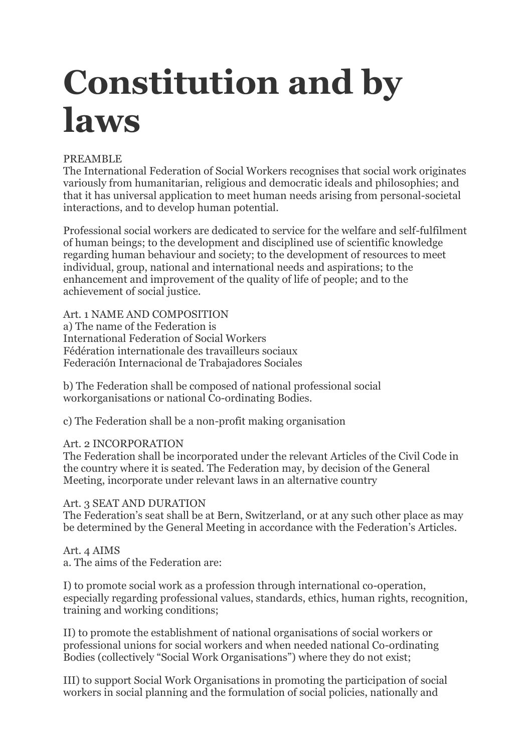# **Constitution and by laws**

## PREAMBLE

The International Federation of Social Workers recognises that social work originates variously from humanitarian, religious and democratic ideals and philosophies; and that it has universal application to meet human needs arising from personal-societal interactions, and to develop human potential.

Professional social workers are dedicated to service for the welfare and self-fulfilment of human beings; to the development and disciplined use of scientific knowledge regarding human behaviour and society; to the development of resources to meet individual, group, national and international needs and aspirations; to the enhancement and improvement of the quality of life of people; and to the achievement of social justice.

Art. 1 NAME AND COMPOSITION a) The name of the Federation is International Federation of Social Workers Fédération internationale des travailleurs sociaux Federación Internacional de Trabajadores Sociales

b) The Federation shall be composed of national professional social workorganisations or national Co-ordinating Bodies.

c) The Federation shall be a non-profit making organisation

# Art. 2 INCORPORATION

The Federation shall be incorporated under the relevant Articles of the Civil Code in the country where it is seated. The Federation may, by decision of the General Meeting, incorporate under relevant laws in an alternative country

## Art. 3 SEAT AND DURATION

The Federation's seat shall be at Bern, Switzerland, or at any such other place as may be determined by the General Meeting in accordance with the Federation's Articles.

#### Art. 4 AIMS a. The aims of the Federation are:

I) to promote social work as a profession through international co-operation, especially regarding professional values, standards, ethics, human rights, recognition, training and working conditions;

II) to promote the establishment of national organisations of social workers or professional unions for social workers and when needed national Co-ordinating Bodies (collectively "Social Work Organisations") where they do not exist;

III) to support Social Work Organisations in promoting the participation of social workers in social planning and the formulation of social policies, nationally and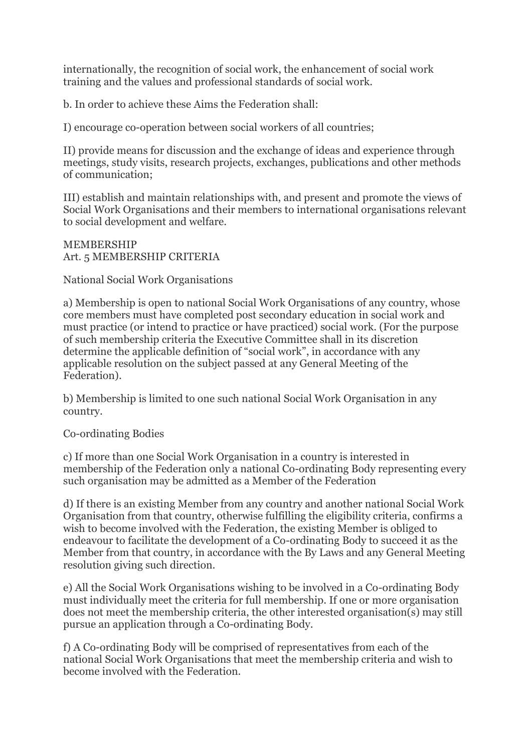internationally, the recognition of social work, the enhancement of social work training and the values and professional standards of social work.

b. In order to achieve these Aims the Federation shall:

I) encourage co-operation between social workers of all countries;

II) provide means for discussion and the exchange of ideas and experience through meetings, study visits, research projects, exchanges, publications and other methods of communication;

III) establish and maintain relationships with, and present and promote the views of Social Work Organisations and their members to international organisations relevant to social development and welfare.

MEMBERSHIP Art. 5 MEMBERSHIP CRITERIA

National Social Work Organisations

a) Membership is open to national Social Work Organisations of any country, whose core members must have completed post secondary education in social work and must practice (or intend to practice or have practiced) social work. (For the purpose of such membership criteria the Executive Committee shall in its discretion determine the applicable definition of "social work", in accordance with any applicable resolution on the subject passed at any General Meeting of the Federation).

b) Membership is limited to one such national Social Work Organisation in any country.

# Co-ordinating Bodies

c) If more than one Social Work Organisation in a country is interested in membership of the Federation only a national Co-ordinating Body representing every such organisation may be admitted as a Member of the Federation

d) If there is an existing Member from any country and another national Social Work Organisation from that country, otherwise fulfilling the eligibility criteria, confirms a wish to become involved with the Federation, the existing Member is obliged to endeavour to facilitate the development of a Co-ordinating Body to succeed it as the Member from that country, in accordance with the By Laws and any General Meeting resolution giving such direction.

e) All the Social Work Organisations wishing to be involved in a Co-ordinating Body must individually meet the criteria for full membership. If one or more organisation does not meet the membership criteria, the other interested organisation(s) may still pursue an application through a Co-ordinating Body.

f) A Co-ordinating Body will be comprised of representatives from each of the national Social Work Organisations that meet the membership criteria and wish to become involved with the Federation.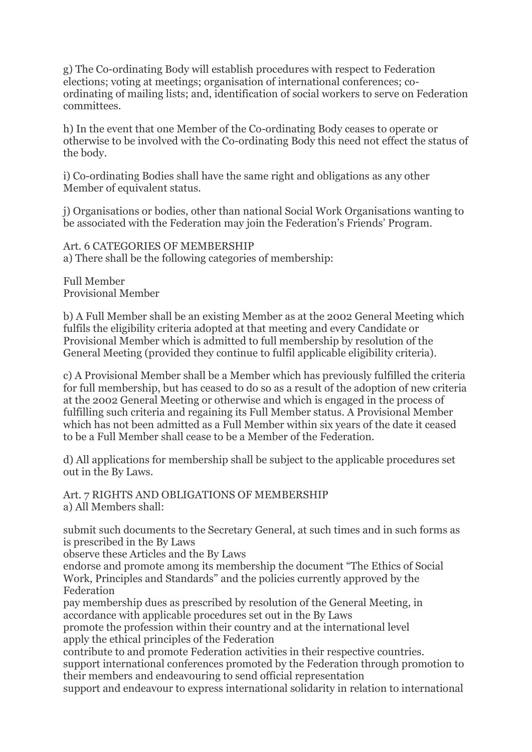g) The Co-ordinating Body will establish procedures with respect to Federation elections; voting at meetings; organisation of international conferences; coordinating of mailing lists; and, identification of social workers to serve on Federation committees.

h) In the event that one Member of the Co-ordinating Body ceases to operate or otherwise to be involved with the Co-ordinating Body this need not effect the status of the body.

i) Co-ordinating Bodies shall have the same right and obligations as any other Member of equivalent status.

j) Organisations or bodies, other than national Social Work Organisations wanting to be associated with the Federation may join the Federation's Friends' Program.

Art. 6 CATEGORIES OF MEMBERSHIP a) There shall be the following categories of membership:

Full Member Provisional Member

b) A Full Member shall be an existing Member as at the 2002 General Meeting which fulfils the eligibility criteria adopted at that meeting and every Candidate or Provisional Member which is admitted to full membership by resolution of the General Meeting (provided they continue to fulfil applicable eligibility criteria).

c) A Provisional Member shall be a Member which has previously fulfilled the criteria for full membership, but has ceased to do so as a result of the adoption of new criteria at the 2002 General Meeting or otherwise and which is engaged in the process of fulfilling such criteria and regaining its Full Member status. A Provisional Member which has not been admitted as a Full Member within six years of the date it ceased to be a Full Member shall cease to be a Member of the Federation.

d) All applications for membership shall be subject to the applicable procedures set out in the By Laws.

Art. 7 RIGHTS AND OBLIGATIONS OF MEMBERSHIP a) All Members shall:

submit such documents to the Secretary General, at such times and in such forms as is prescribed in the By Laws

observe these Articles and the By Laws

endorse and promote among its membership the document "The Ethics of Social Work, Principles and Standards" and the policies currently approved by the Federation

pay membership dues as prescribed by resolution of the General Meeting, in accordance with applicable procedures set out in the By Laws

promote the profession within their country and at the international level apply the ethical principles of the Federation

contribute to and promote Federation activities in their respective countries. support international conferences promoted by the Federation through promotion to their members and endeavouring to send official representation

support and endeavour to express international solidarity in relation to international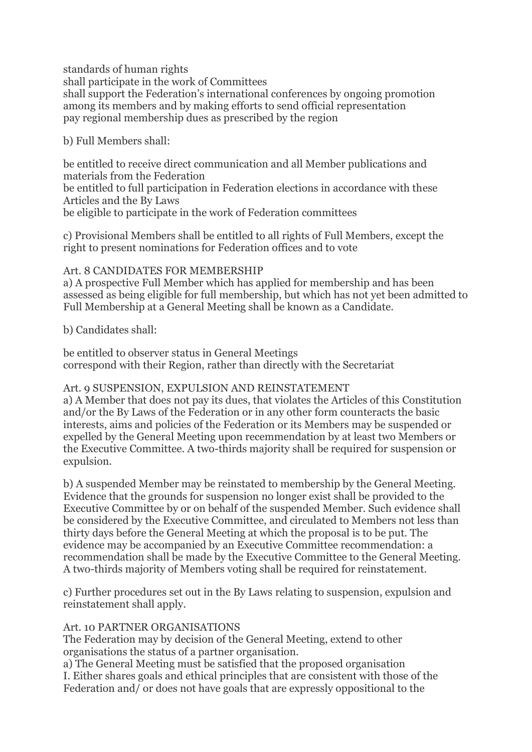standards of human rights

shall participate in the work of Committees shall support the Federation's international conferences by ongoing promotion among its members and by making efforts to send official representation pay regional membership dues as prescribed by the region

b) Full Members shall:

be entitled to receive direct communication and all Member publications and materials from the Federation be entitled to full participation in Federation elections in accordance with these

Articles and the By Laws

be eligible to participate in the work of Federation committees

c) Provisional Members shall be entitled to all rights of Full Members, except the right to present nominations for Federation offices and to vote

# Art. 8 CANDIDATES FOR MEMBERSHIP

a) A prospective Full Member which has applied for membership and has been assessed as being eligible for full membership, but which has not yet been admitted to Full Membership at a General Meeting shall be known as a Candidate.

# b) Candidates shall:

be entitled to observer status in General Meetings correspond with their Region, rather than directly with the Secretariat

# Art. 9 SUSPENSION, EXPULSION AND REINSTATEMENT

a) A Member that does not pay its dues, that violates the Articles of this Constitution and/or the By Laws of the Federation or in any other form counteracts the basic interests, aims and policies of the Federation or its Members may be suspended or expelled by the General Meeting upon recemmendation by at least two Members or the Executive Committee. A two-thirds majority shall be required for suspension or expulsion.

b) A suspended Member may be reinstated to membership by the General Meeting. Evidence that the grounds for suspension no longer exist shall be provided to the Executive Committee by or on behalf of the suspended Member. Such evidence shall be considered by the Executive Committee, and circulated to Members not less than thirty days before the General Meeting at which the proposal is to be put. The evidence may be accompanied by an Executive Committee recommendation: a recommendation shall be made by the Executive Committee to the General Meeting. A two-thirds majority of Members voting shall be required for reinstatement.

c) Further procedures set out in the By Laws relating to suspension, expulsion and reinstatement shall apply.

# Art. 10 PARTNER ORGANISATIONS

The Federation may by decision of the General Meeting, extend to other organisations the status of a partner organisation.

a) The General Meeting must be satisfied that the proposed organisation I. Either shares goals and ethical principles that are consistent with those of the Federation and/ or does not have goals that are expressly oppositional to the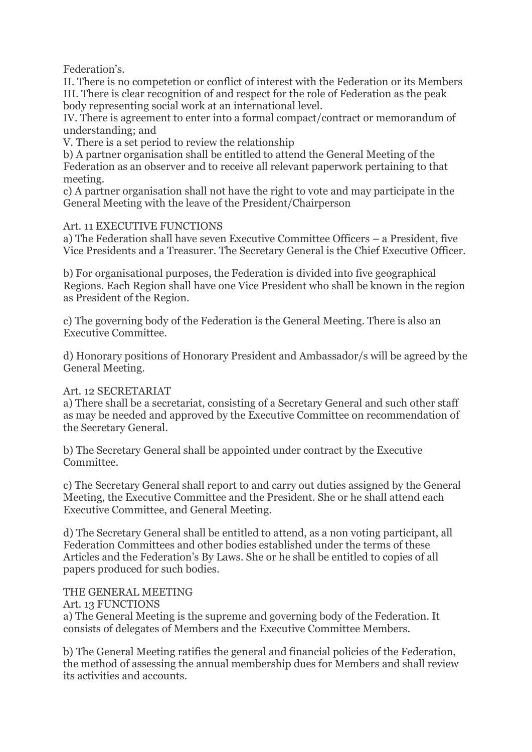Federation's.

II. There is no competetion or conflict of interest with the Federation or its Members III. There is clear recognition of and respect for the role of Federation as the peak body representing social work at an international level.

IV. There is agreement to enter into a formal compact/contract or memorandum of understanding; and

V. There is a set period to review the relationship

b) A partner organisation shall be entitled to attend the General Meeting of the Federation as an observer and to receive all relevant paperwork pertaining to that meeting.

c) A partner organisation shall not have the right to vote and may participate in the General Meeting with the leave of the President/Chairperson

#### Art. 11 EXECUTIVE FUNCTIONS

a) The Federation shall have seven Executive Committee Officers – a President, five Vice Presidents and a Treasurer. The Secretary General is the Chief Executive Officer.

b) For organisational purposes, the Federation is divided into five geographical Regions. Each Region shall have one Vice President who shall be known in the region as President of the Region.

c) The governing body of the Federation is the General Meeting. There is also an Executive Committee.

d) Honorary positions of Honorary President and Ambassador/s will be agreed by the General Meeting.

## Art. 12 SECRETARIAT

a) There shall be a secretariat, consisting of a Secretary General and such other staff as may be needed and approved by the Executive Committee on recommendation of the Secretary General.

b) The Secretary General shall be appointed under contract by the Executive Committee.

c) The Secretary General shall report to and carry out duties assigned by the General Meeting, the Executive Committee and the President. She or he shall attend each Executive Committee, and General Meeting.

d) The Secretary General shall be entitled to attend, as a non voting participant, all Federation Committees and other bodies established under the terms of these Articles and the Federation's By Laws. She or he shall be entitled to copies of all papers produced for such bodies.

## THE GENERAL MEETING

Art. 13 FUNCTIONS

a) The General Meeting is the supreme and governing body of the Federation. It consists of delegates of Members and the Executive Committee Members.

b) The General Meeting ratifies the general and financial policies of the Federation, the method of assessing the annual membership dues for Members and shall review its activities and accounts.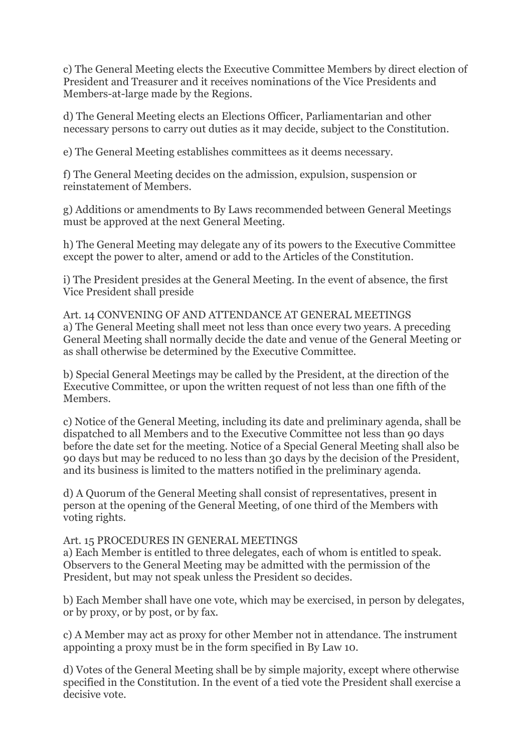c) The General Meeting elects the Executive Committee Members by direct election of President and Treasurer and it receives nominations of the Vice Presidents and Members-at-large made by the Regions.

d) The General Meeting elects an Elections Officer, Parliamentarian and other necessary persons to carry out duties as it may decide, subject to the Constitution.

e) The General Meeting establishes committees as it deems necessary.

f) The General Meeting decides on the admission, expulsion, suspension or reinstatement of Members.

g) Additions or amendments to By Laws recommended between General Meetings must be approved at the next General Meeting.

h) The General Meeting may delegate any of its powers to the Executive Committee except the power to alter, amend or add to the Articles of the Constitution.

i) The President presides at the General Meeting. In the event of absence, the first Vice President shall preside

Art. 14 CONVENING OF AND ATTENDANCE AT GENERAL MEETINGS a) The General Meeting shall meet not less than once every two years. A preceding General Meeting shall normally decide the date and venue of the General Meeting or as shall otherwise be determined by the Executive Committee.

b) Special General Meetings may be called by the President, at the direction of the Executive Committee, or upon the written request of not less than one fifth of the Members.

c) Notice of the General Meeting, including its date and preliminary agenda, shall be dispatched to all Members and to the Executive Committee not less than 90 days before the date set for the meeting. Notice of a Special General Meeting shall also be 90 days but may be reduced to no less than 30 days by the decision of the President, and its business is limited to the matters notified in the preliminary agenda.

d) A Quorum of the General Meeting shall consist of representatives, present in person at the opening of the General Meeting, of one third of the Members with voting rights.

## Art. 15 PROCEDURES IN GENERAL MEETINGS

a) Each Member is entitled to three delegates, each of whom is entitled to speak. Observers to the General Meeting may be admitted with the permission of the President, but may not speak unless the President so decides.

b) Each Member shall have one vote, which may be exercised, in person by delegates, or by proxy, or by post, or by fax.

c) A Member may act as proxy for other Member not in attendance. The instrument appointing a proxy must be in the form specified in By Law 10.

d) Votes of the General Meeting shall be by simple majority, except where otherwise specified in the Constitution. In the event of a tied vote the President shall exercise a decisive vote.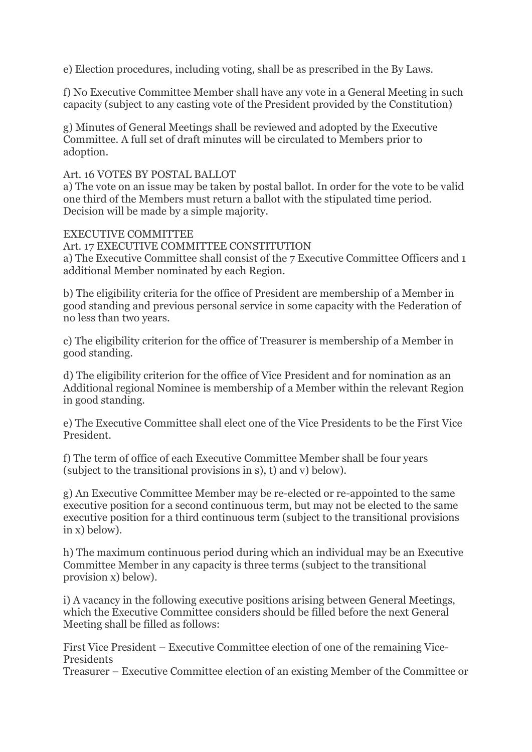e) Election procedures, including voting, shall be as prescribed in the By Laws.

f) No Executive Committee Member shall have any vote in a General Meeting in such capacity (subject to any casting vote of the President provided by the Constitution)

g) Minutes of General Meetings shall be reviewed and adopted by the Executive Committee. A full set of draft minutes will be circulated to Members prior to adoption.

#### Art. 16 VOTES BY POSTAL BALLOT

a) The vote on an issue may be taken by postal ballot. In order for the vote to be valid one third of the Members must return a ballot with the stipulated time period. Decision will be made by a simple majority.

#### EXECUTIVE COMMITTEE

Art. 17 EXECUTIVE COMMITTEE CONSTITUTION

a) The Executive Committee shall consist of the 7 Executive Committee Officers and 1 additional Member nominated by each Region.

b) The eligibility criteria for the office of President are membership of a Member in good standing and previous personal service in some capacity with the Federation of no less than two years.

c) The eligibility criterion for the office of Treasurer is membership of a Member in good standing.

d) The eligibility criterion for the office of Vice President and for nomination as an Additional regional Nominee is membership of a Member within the relevant Region in good standing.

e) The Executive Committee shall elect one of the Vice Presidents to be the First Vice President.

f) The term of office of each Executive Committee Member shall be four years (subject to the transitional provisions in s), t) and v) below).

g) An Executive Committee Member may be re-elected or re-appointed to the same executive position for a second continuous term, but may not be elected to the same executive position for a third continuous term (subject to the transitional provisions in x) below).

h) The maximum continuous period during which an individual may be an Executive Committee Member in any capacity is three terms (subject to the transitional provision x) below).

i) A vacancy in the following executive positions arising between General Meetings, which the Executive Committee considers should be filled before the next General Meeting shall be filled as follows:

First Vice President – Executive Committee election of one of the remaining Vice-Presidents

Treasurer – Executive Committee election of an existing Member of the Committee or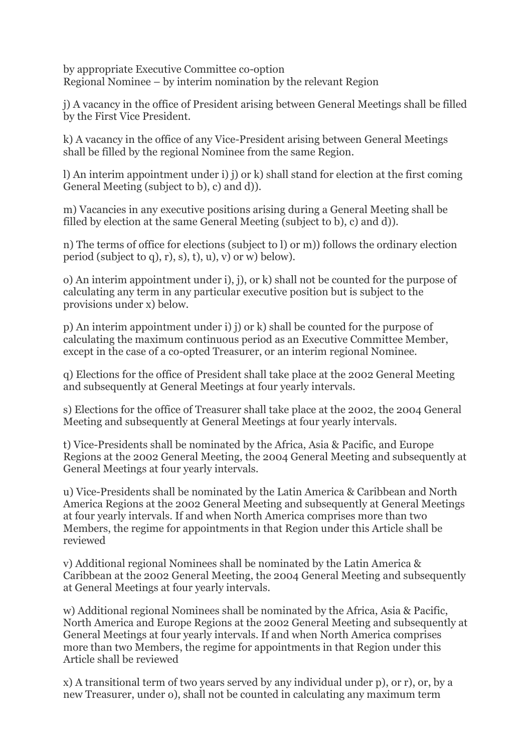by appropriate Executive Committee co-option Regional Nominee – by interim nomination by the relevant Region

j) A vacancy in the office of President arising between General Meetings shall be filled by the First Vice President.

k) A vacancy in the office of any Vice-President arising between General Meetings shall be filled by the regional Nominee from the same Region.

l) An interim appointment under i) j) or k) shall stand for election at the first coming General Meeting (subject to b), c) and d)).

m) Vacancies in any executive positions arising during a General Meeting shall be filled by election at the same General Meeting (subject to b), c) and d)).

n) The terms of office for elections (subject to l) or m)) follows the ordinary election period (subject to q), r), s), t), u), v) or w) below).

o) An interim appointment under i), j), or k) shall not be counted for the purpose of calculating any term in any particular executive position but is subject to the provisions under x) below.

p) An interim appointment under i) j) or k) shall be counted for the purpose of calculating the maximum continuous period as an Executive Committee Member, except in the case of a co-opted Treasurer, or an interim regional Nominee.

q) Elections for the office of President shall take place at the 2002 General Meeting and subsequently at General Meetings at four yearly intervals.

s) Elections for the office of Treasurer shall take place at the 2002, the 2004 General Meeting and subsequently at General Meetings at four yearly intervals.

t) Vice-Presidents shall be nominated by the Africa, Asia & Pacific, and Europe Regions at the 2002 General Meeting, the 2004 General Meeting and subsequently at General Meetings at four yearly intervals.

u) Vice-Presidents shall be nominated by the Latin America & Caribbean and North America Regions at the 2002 General Meeting and subsequently at General Meetings at four yearly intervals. If and when North America comprises more than two Members, the regime for appointments in that Region under this Article shall be reviewed

v) Additional regional Nominees shall be nominated by the Latin America & Caribbean at the 2002 General Meeting, the 2004 General Meeting and subsequently at General Meetings at four yearly intervals.

w) Additional regional Nominees shall be nominated by the Africa, Asia & Pacific, North America and Europe Regions at the 2002 General Meeting and subsequently at General Meetings at four yearly intervals. If and when North America comprises more than two Members, the regime for appointments in that Region under this Article shall be reviewed

x) A transitional term of two years served by any individual under p), or r), or, by a new Treasurer, under o), shall not be counted in calculating any maximum term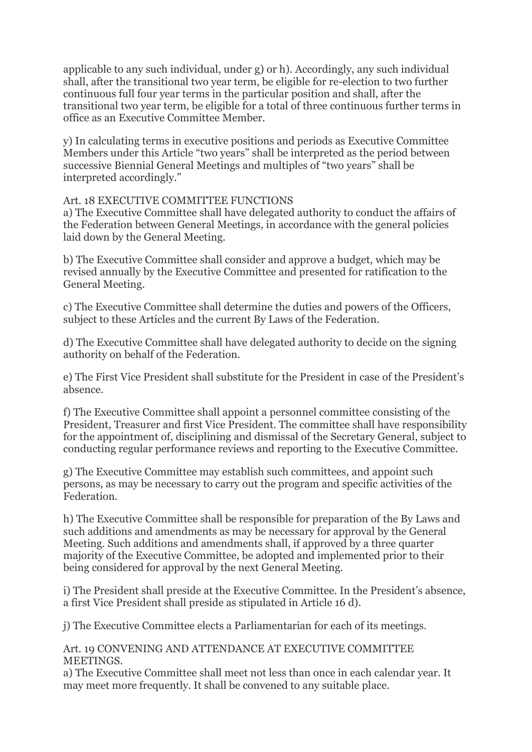applicable to any such individual, under g) or h). Accordingly, any such individual shall, after the transitional two year term, be eligible for re-election to two further continuous full four year terms in the particular position and shall, after the transitional two year term, be eligible for a total of three continuous further terms in office as an Executive Committee Member.

y) In calculating terms in executive positions and periods as Executive Committee Members under this Article "two years" shall be interpreted as the period between successive Biennial General Meetings and multiples of "two years" shall be interpreted accordingly."

## Art. 18 EXECUTIVE COMMITTEE FUNCTIONS

a) The Executive Committee shall have delegated authority to conduct the affairs of the Federation between General Meetings, in accordance with the general policies laid down by the General Meeting.

b) The Executive Committee shall consider and approve a budget, which may be revised annually by the Executive Committee and presented for ratification to the General Meeting.

c) The Executive Committee shall determine the duties and powers of the Officers, subject to these Articles and the current By Laws of the Federation.

d) The Executive Committee shall have delegated authority to decide on the signing authority on behalf of the Federation.

e) The First Vice President shall substitute for the President in case of the President's absence.

f) The Executive Committee shall appoint a personnel committee consisting of the President, Treasurer and first Vice President. The committee shall have responsibility for the appointment of, disciplining and dismissal of the Secretary General, subject to conducting regular performance reviews and reporting to the Executive Committee.

g) The Executive Committee may establish such committees, and appoint such persons, as may be necessary to carry out the program and specific activities of the Federation.

h) The Executive Committee shall be responsible for preparation of the By Laws and such additions and amendments as may be necessary for approval by the General Meeting. Such additions and amendments shall, if approved by a three quarter majority of the Executive Committee, be adopted and implemented prior to their being considered for approval by the next General Meeting.

i) The President shall preside at the Executive Committee. In the President's absence, a first Vice President shall preside as stipulated in Article 16 d).

j) The Executive Committee elects a Parliamentarian for each of its meetings.

Art. 19 CONVENING AND ATTENDANCE AT EXECUTIVE COMMITTEE **MEETINGS** 

a) The Executive Committee shall meet not less than once in each calendar year. It may meet more frequently. It shall be convened to any suitable place.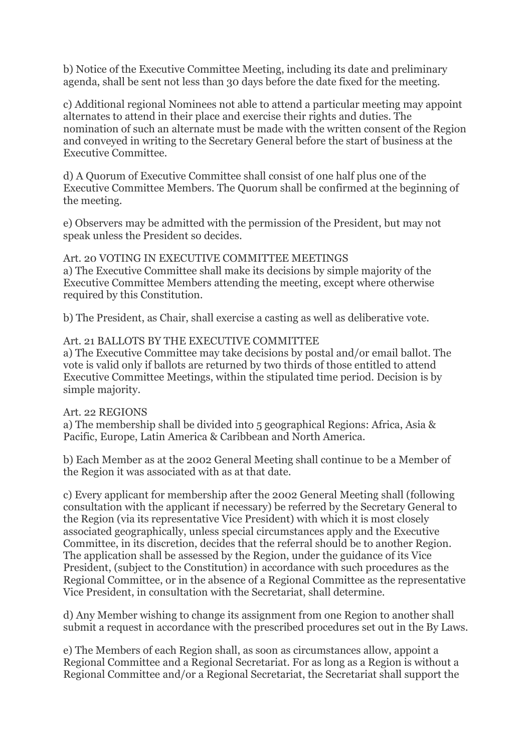b) Notice of the Executive Committee Meeting, including its date and preliminary agenda, shall be sent not less than 30 days before the date fixed for the meeting.

c) Additional regional Nominees not able to attend a particular meeting may appoint alternates to attend in their place and exercise their rights and duties. The nomination of such an alternate must be made with the written consent of the Region and conveyed in writing to the Secretary General before the start of business at the Executive Committee.

d) A Quorum of Executive Committee shall consist of one half plus one of the Executive Committee Members. The Quorum shall be confirmed at the beginning of the meeting.

e) Observers may be admitted with the permission of the President, but may not speak unless the President so decides.

Art. 20 VOTING IN EXECUTIVE COMMITTEE MEETINGS a) The Executive Committee shall make its decisions by simple majority of the Executive Committee Members attending the meeting, except where otherwise required by this Constitution.

b) The President, as Chair, shall exercise a casting as well as deliberative vote.

#### Art. 21 BALLOTS BY THE EXECUTIVE COMMITTEE

a) The Executive Committee may take decisions by postal and/or email ballot. The vote is valid only if ballots are returned by two thirds of those entitled to attend Executive Committee Meetings, within the stipulated time period. Decision is by simple majority.

#### Art. 22 REGIONS

a) The membership shall be divided into 5 geographical Regions: Africa, Asia & Pacific, Europe, Latin America & Caribbean and North America.

b) Each Member as at the 2002 General Meeting shall continue to be a Member of the Region it was associated with as at that date.

c) Every applicant for membership after the 2002 General Meeting shall (following consultation with the applicant if necessary) be referred by the Secretary General to the Region (via its representative Vice President) with which it is most closely associated geographically, unless special circumstances apply and the Executive Committee, in its discretion, decides that the referral should be to another Region. The application shall be assessed by the Region, under the guidance of its Vice President, (subject to the Constitution) in accordance with such procedures as the Regional Committee, or in the absence of a Regional Committee as the representative Vice President, in consultation with the Secretariat, shall determine.

d) Any Member wishing to change its assignment from one Region to another shall submit a request in accordance with the prescribed procedures set out in the By Laws.

e) The Members of each Region shall, as soon as circumstances allow, appoint a Regional Committee and a Regional Secretariat. For as long as a Region is without a Regional Committee and/or a Regional Secretariat, the Secretariat shall support the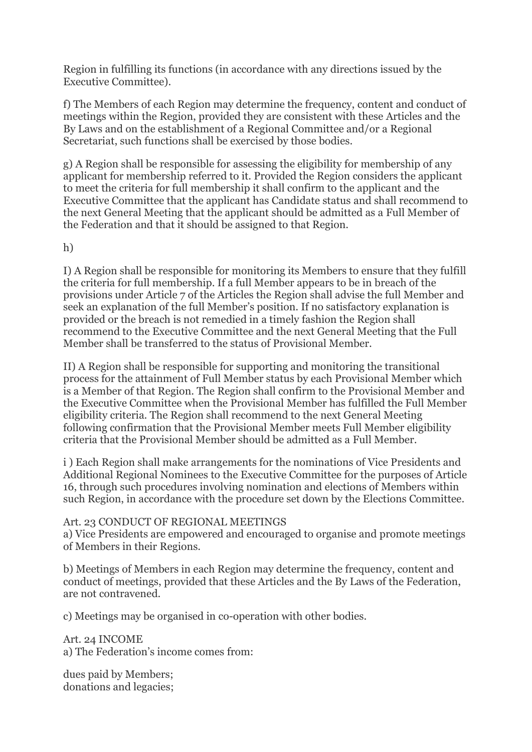Region in fulfilling its functions (in accordance with any directions issued by the Executive Committee).

f) The Members of each Region may determine the frequency, content and conduct of meetings within the Region, provided they are consistent with these Articles and the By Laws and on the establishment of a Regional Committee and/or a Regional Secretariat, such functions shall be exercised by those bodies.

g) A Region shall be responsible for assessing the eligibility for membership of any applicant for membership referred to it. Provided the Region considers the applicant to meet the criteria for full membership it shall confirm to the applicant and the Executive Committee that the applicant has Candidate status and shall recommend to the next General Meeting that the applicant should be admitted as a Full Member of the Federation and that it should be assigned to that Region.

h)

I) A Region shall be responsible for monitoring its Members to ensure that they fulfill the criteria for full membership. If a full Member appears to be in breach of the provisions under Article 7 of the Articles the Region shall advise the full Member and seek an explanation of the full Member's position. If no satisfactory explanation is provided or the breach is not remedied in a timely fashion the Region shall recommend to the Executive Committee and the next General Meeting that the Full Member shall be transferred to the status of Provisional Member.

II) A Region shall be responsible for supporting and monitoring the transitional process for the attainment of Full Member status by each Provisional Member which is a Member of that Region. The Region shall confirm to the Provisional Member and the Executive Committee when the Provisional Member has fulfilled the Full Member eligibility criteria. The Region shall recommend to the next General Meeting following confirmation that the Provisional Member meets Full Member eligibility criteria that the Provisional Member should be admitted as a Full Member.

i ) Each Region shall make arrangements for the nominations of Vice Presidents and Additional Regional Nominees to the Executive Committee for the purposes of Article 16, through such procedures involving nomination and elections of Members within such Region, in accordance with the procedure set down by the Elections Committee.

## Art. 23 CONDUCT OF REGIONAL MEETINGS

a) Vice Presidents are empowered and encouraged to organise and promote meetings of Members in their Regions.

b) Meetings of Members in each Region may determine the frequency, content and conduct of meetings, provided that these Articles and the By Laws of the Federation, are not contravened.

c) Meetings may be organised in co-operation with other bodies.

Art. 24 INCOME a) The Federation's income comes from:

dues paid by Members; donations and legacies;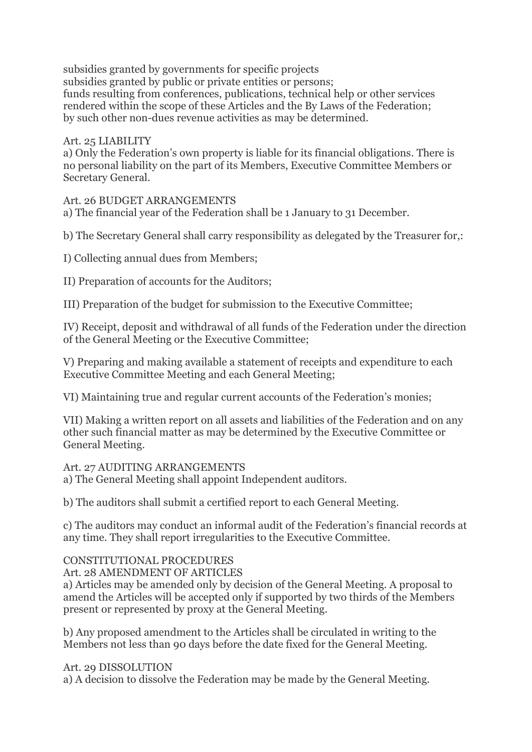subsidies granted by governments for specific projects subsidies granted by public or private entities or persons; funds resulting from conferences, publications, technical help or other services rendered within the scope of these Articles and the By Laws of the Federation; by such other non-dues revenue activities as may be determined.

## Art. 25 LIABILITY

a) Only the Federation's own property is liable for its financial obligations. There is no personal liability on the part of its Members, Executive Committee Members or Secretary General.

## Art. 26 BUDGET ARRANGEMENTS

a) The financial year of the Federation shall be 1 January to 31 December.

b) The Secretary General shall carry responsibility as delegated by the Treasurer for,:

I) Collecting annual dues from Members;

II) Preparation of accounts for the Auditors;

III) Preparation of the budget for submission to the Executive Committee;

IV) Receipt, deposit and withdrawal of all funds of the Federation under the direction of the General Meeting or the Executive Committee;

V) Preparing and making available a statement of receipts and expenditure to each Executive Committee Meeting and each General Meeting;

VI) Maintaining true and regular current accounts of the Federation's monies;

VII) Making a written report on all assets and liabilities of the Federation and on any other such financial matter as may be determined by the Executive Committee or General Meeting.

Art. 27 AUDITING ARRANGEMENTS

a) The General Meeting shall appoint Independent auditors.

b) The auditors shall submit a certified report to each General Meeting.

c) The auditors may conduct an informal audit of the Federation's financial records at any time. They shall report irregularities to the Executive Committee.

# CONSTITUTIONAL PROCEDURES

Art. 28 AMENDMENT OF ARTICLES

a) Articles may be amended only by decision of the General Meeting. A proposal to amend the Articles will be accepted only if supported by two thirds of the Members present or represented by proxy at the General Meeting.

b) Any proposed amendment to the Articles shall be circulated in writing to the Members not less than 90 days before the date fixed for the General Meeting.

## Art. 29 DISSOLUTION

a) A decision to dissolve the Federation may be made by the General Meeting.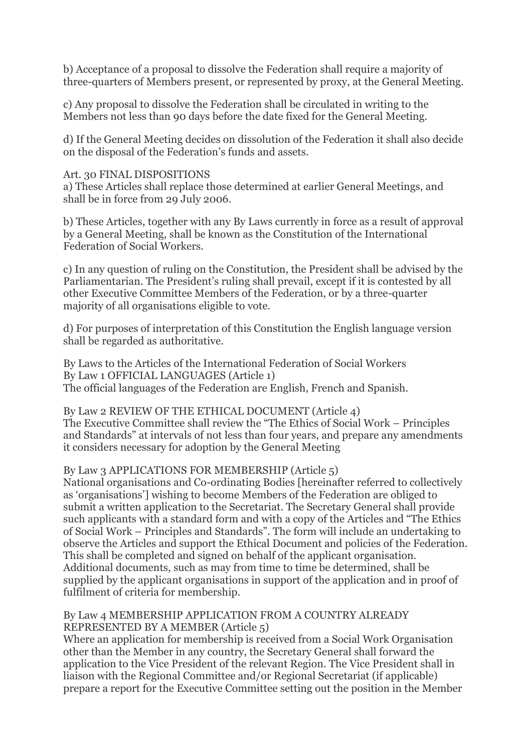b) Acceptance of a proposal to dissolve the Federation shall require a majority of three-quarters of Members present, or represented by proxy, at the General Meeting.

c) Any proposal to dissolve the Federation shall be circulated in writing to the Members not less than 90 days before the date fixed for the General Meeting.

d) If the General Meeting decides on dissolution of the Federation it shall also decide on the disposal of the Federation's funds and assets.

#### Art. 30 FINAL DISPOSITIONS

a) These Articles shall replace those determined at earlier General Meetings, and shall be in force from 29 July 2006.

b) These Articles, together with any By Laws currently in force as a result of approval by a General Meeting, shall be known as the Constitution of the International Federation of Social Workers.

c) In any question of ruling on the Constitution, the President shall be advised by the Parliamentarian. The President's ruling shall prevail, except if it is contested by all other Executive Committee Members of the Federation, or by a three-quarter majority of all organisations eligible to vote.

d) For purposes of interpretation of this Constitution the English language version shall be regarded as authoritative.

By Laws to the Articles of the International Federation of Social Workers By Law 1 OFFICIAL LANGUAGES (Article 1) The official languages of the Federation are English, French and Spanish.

By Law 2 REVIEW OF THE ETHICAL DOCUMENT (Article 4) The Executive Committee shall review the "The Ethics of Social Work – Principles and Standards" at intervals of not less than four years, and prepare any amendments it considers necessary for adoption by the General Meeting

## By Law 3 APPLICATIONS FOR MEMBERSHIP (Article 5)

National organisations and Co-ordinating Bodies [hereinafter referred to collectively as 'organisations'] wishing to become Members of the Federation are obliged to submit a written application to the Secretariat. The Secretary General shall provide such applicants with a standard form and with a copy of the Articles and "The Ethics of Social Work – Principles and Standards". The form will include an undertaking to observe the Articles and support the Ethical Document and policies of the Federation. This shall be completed and signed on behalf of the applicant organisation. Additional documents, such as may from time to time be determined, shall be supplied by the applicant organisations in support of the application and in proof of fulfilment of criteria for membership.

#### By Law 4 MEMBERSHIP APPLICATION FROM A COUNTRY ALREADY REPRESENTED BY A MEMBER (Article 5)

Where an application for membership is received from a Social Work Organisation other than the Member in any country, the Secretary General shall forward the application to the Vice President of the relevant Region. The Vice President shall in liaison with the Regional Committee and/or Regional Secretariat (if applicable) prepare a report for the Executive Committee setting out the position in the Member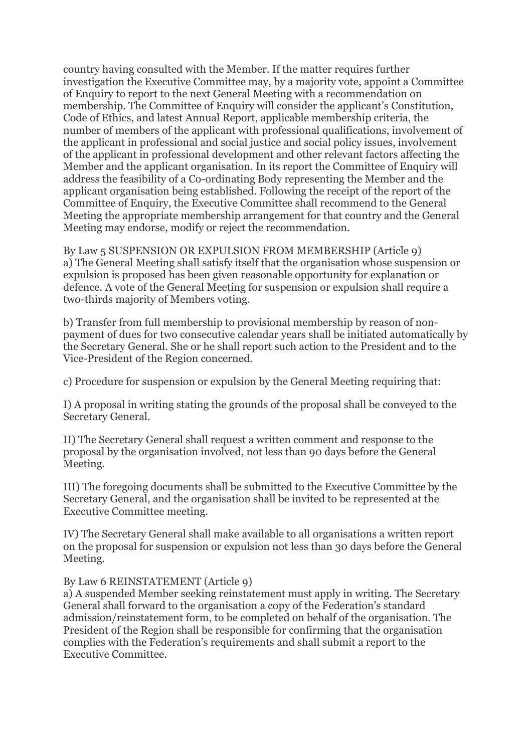country having consulted with the Member. If the matter requires further investigation the Executive Committee may, by a majority vote, appoint a Committee of Enquiry to report to the next General Meeting with a recommendation on membership. The Committee of Enquiry will consider the applicant's Constitution, Code of Ethics, and latest Annual Report, applicable membership criteria, the number of members of the applicant with professional qualifications, involvement of the applicant in professional and social justice and social policy issues, involvement of the applicant in professional development and other relevant factors affecting the Member and the applicant organisation. In its report the Committee of Enquiry will address the feasibility of a Co-ordinating Body representing the Member and the applicant organisation being established. Following the receipt of the report of the Committee of Enquiry, the Executive Committee shall recommend to the General Meeting the appropriate membership arrangement for that country and the General Meeting may endorse, modify or reject the recommendation.

By Law 5 SUSPENSION OR EXPULSION FROM MEMBERSHIP (Article 9) a) The General Meeting shall satisfy itself that the organisation whose suspension or expulsion is proposed has been given reasonable opportunity for explanation or defence. A vote of the General Meeting for suspension or expulsion shall require a two-thirds majority of Members voting.

b) Transfer from full membership to provisional membership by reason of nonpayment of dues for two consecutive calendar years shall be initiated automatically by the Secretary General. She or he shall report such action to the President and to the Vice-President of the Region concerned.

c) Procedure for suspension or expulsion by the General Meeting requiring that:

I) A proposal in writing stating the grounds of the proposal shall be conveyed to the Secretary General.

II) The Secretary General shall request a written comment and response to the proposal by the organisation involved, not less than 90 days before the General Meeting.

III) The foregoing documents shall be submitted to the Executive Committee by the Secretary General, and the organisation shall be invited to be represented at the Executive Committee meeting.

IV) The Secretary General shall make available to all organisations a written report on the proposal for suspension or expulsion not less than 30 days before the General Meeting.

## By Law 6 REINSTATEMENT (Article 9)

a) A suspended Member seeking reinstatement must apply in writing. The Secretary General shall forward to the organisation a copy of the Federation's standard admission/reinstatement form, to be completed on behalf of the organisation. The President of the Region shall be responsible for confirming that the organisation complies with the Federation's requirements and shall submit a report to the Executive Committee.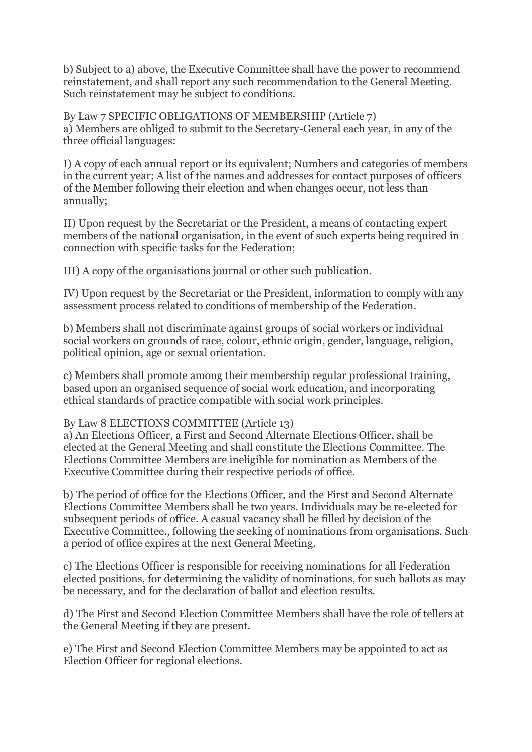b) Subject to a) above, the Executive Committee shall have the power to recommend reinstatement, and shall report any such recommendation to the General Meeting. Such reinstatement may be subject to conditions.

By Law 7 SPECIFIC OBLIGATIONS OF MEMBERSHIP (Article 7) a) Members are obliged to submit to the Secretary-General each year, in any of the three official languages:

I) A copy of each annual report or its equivalent; Numbers and categories of members in the current year; A list of the names and addresses for contact purposes of officers of the Member following their election and when changes occur, not less than annually;

II) Upon request by the Secretariat or the President, a means of contacting expert members of the national organisation, in the event of such experts being required in connection with specific tasks for the Federation;

III) A copy of the organisations journal or other such publication.

IV) Upon request by the Secretariat or the President, information to comply with any assessment process related to conditions of membership of the Federation.

b) Members shall not discriminate against groups of social workers or individual social workers on grounds of race, colour, ethnic origin, gender, language, religion, political opinion, age or sexual orientation.

c) Members shall promote among their membership regular professional training, based upon an organised sequence of social work education, and incorporating ethical standards of practice compatible with social work principles.

## By Law 8 ELECTIONS COMMITTEE (Article 13)

a) An Elections Officer, a First and Second Alternate Elections Officer, shall be elected at the General Meeting and shall constitute the Elections Committee. The Elections Committee Members are ineligible for nomination as Members of the Executive Committee during their respective periods of office.

b) The period of office for the Elections Officer, and the First and Second Alternate Elections Committee Members shall be two years. Individuals may be re-elected for subsequent periods of office. A casual vacancy shall be filled by decision of the Executive Committee., following the seeking of nominations from organisations. Such a period of office expires at the next General Meeting.

c) The Elections Officer is responsible for receiving nominations for all Federation elected positions, for determining the validity of nominations, for such ballots as may be necessary, and for the declaration of ballot and election results.

d) The First and Second Election Committee Members shall have the role of tellers at the General Meeting if they are present.

e) The First and Second Election Committee Members may be appointed to act as Election Officer for regional elections.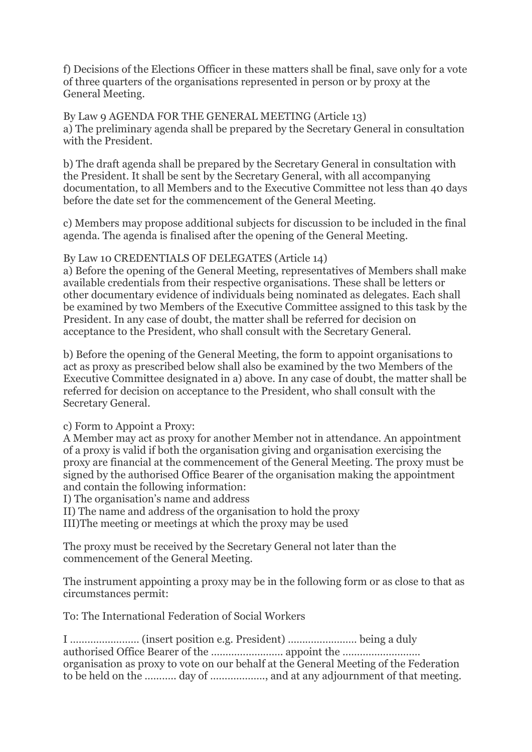f) Decisions of the Elections Officer in these matters shall be final, save only for a vote of three quarters of the organisations represented in person or by proxy at the General Meeting.

By Law 9 AGENDA FOR THE GENERAL MEETING (Article 13) a) The preliminary agenda shall be prepared by the Secretary General in consultation with the President.

b) The draft agenda shall be prepared by the Secretary General in consultation with the President. It shall be sent by the Secretary General, with all accompanying documentation, to all Members and to the Executive Committee not less than 40 days before the date set for the commencement of the General Meeting.

c) Members may propose additional subjects for discussion to be included in the final agenda. The agenda is finalised after the opening of the General Meeting.

## By Law 10 CREDENTIALS OF DELEGATES (Article 14)

a) Before the opening of the General Meeting, representatives of Members shall make available credentials from their respective organisations. These shall be letters or other documentary evidence of individuals being nominated as delegates. Each shall be examined by two Members of the Executive Committee assigned to this task by the President. In any case of doubt, the matter shall be referred for decision on acceptance to the President, who shall consult with the Secretary General.

b) Before the opening of the General Meeting, the form to appoint organisations to act as proxy as prescribed below shall also be examined by the two Members of the Executive Committee designated in a) above. In any case of doubt, the matter shall be referred for decision on acceptance to the President, who shall consult with the Secretary General.

c) Form to Appoint a Proxy:

A Member may act as proxy for another Member not in attendance. An appointment of a proxy is valid if both the organisation giving and organisation exercising the proxy are financial at the commencement of the General Meeting. The proxy must be signed by the authorised Office Bearer of the organisation making the appointment and contain the following information:

I) The organisation's name and address

II) The name and address of the organisation to hold the proxy

III)The meeting or meetings at which the proxy may be used

The proxy must be received by the Secretary General not later than the commencement of the General Meeting.

The instrument appointing a proxy may be in the following form or as close to that as circumstances permit:

To: The International Federation of Social Workers

I …………………… (insert position e.g. President) …………………… being a duly authorised Office Bearer of the ……………………. appoint the ……………………… organisation as proxy to vote on our behalf at the General Meeting of the Federation to be held on the ……….. day of ………………., and at any adjournment of that meeting.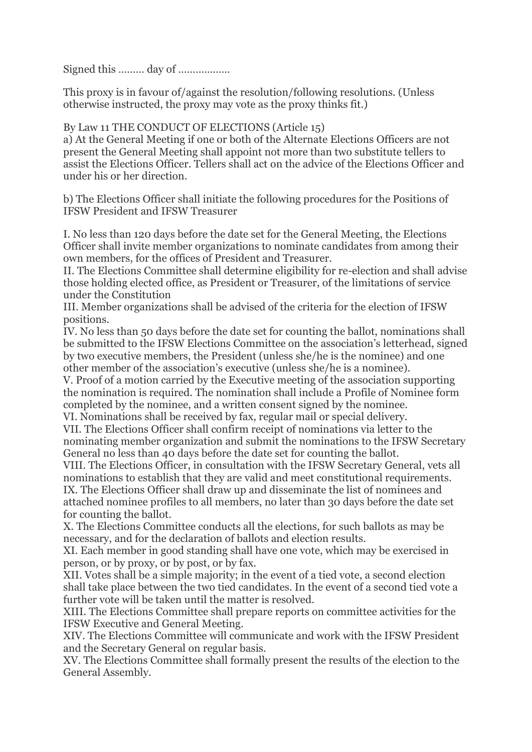Signed this ……… day of ………………

This proxy is in favour of/against the resolution/following resolutions. (Unless otherwise instructed, the proxy may vote as the proxy thinks fit.)

## By Law 11 THE CONDUCT OF ELECTIONS (Article 15)

a) At the General Meeting if one or both of the Alternate Elections Officers are not present the General Meeting shall appoint not more than two substitute tellers to assist the Elections Officer. Tellers shall act on the advice of the Elections Officer and under his or her direction.

b) The Elections Officer shall initiate the following procedures for the Positions of IFSW President and IFSW Treasurer

I. No less than 120 days before the date set for the General Meeting, the Elections Officer shall invite member organizations to nominate candidates from among their own members, for the offices of President and Treasurer.

II. The Elections Committee shall determine eligibility for re-election and shall advise those holding elected office, as President or Treasurer, of the limitations of service under the Constitution

III. Member organizations shall be advised of the criteria for the election of IFSW positions.

IV. No less than 50 days before the date set for counting the ballot, nominations shall be submitted to the IFSW Elections Committee on the association's letterhead, signed by two executive members, the President (unless she/he is the nominee) and one other member of the association's executive (unless she/he is a nominee).

V. Proof of a motion carried by the Executive meeting of the association supporting the nomination is required. The nomination shall include a Profile of Nominee form completed by the nominee, and a written consent signed by the nominee. VI. Nominations shall be received by fax, regular mail or special delivery.

VII. The Elections Officer shall confirm receipt of nominations via letter to the nominating member organization and submit the nominations to the IFSW Secretary General no less than 40 days before the date set for counting the ballot.

VIII. The Elections Officer, in consultation with the IFSW Secretary General, vets all nominations to establish that they are valid and meet constitutional requirements. IX. The Elections Officer shall draw up and disseminate the list of nominees and attached nominee profiles to all members, no later than 30 days before the date set

for counting the ballot.

X. The Elections Committee conducts all the elections, for such ballots as may be necessary, and for the declaration of ballots and election results.

XI. Each member in good standing shall have one vote, which may be exercised in person, or by proxy, or by post, or by fax.

XII. Votes shall be a simple majority; in the event of a tied vote, a second election shall take place between the two tied candidates. In the event of a second tied vote a further vote will be taken until the matter is resolved.

XIII. The Elections Committee shall prepare reports on committee activities for the IFSW Executive and General Meeting.

XIV. The Elections Committee will communicate and work with the IFSW President and the Secretary General on regular basis.

XV. The Elections Committee shall formally present the results of the election to the General Assembly.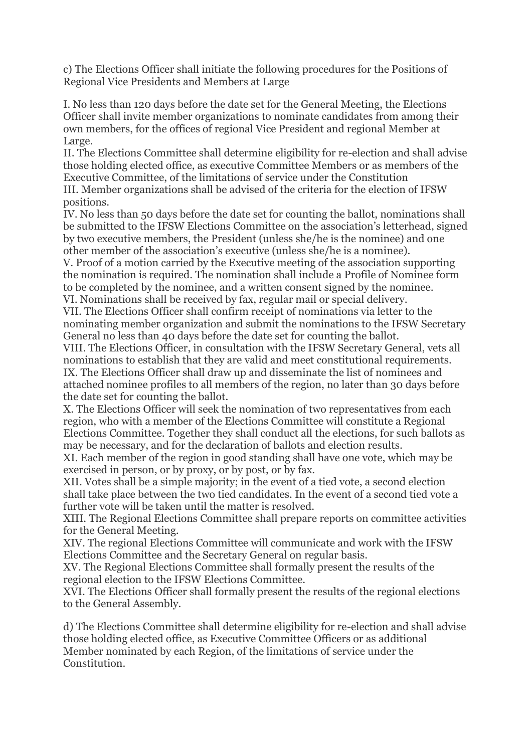c) The Elections Officer shall initiate the following procedures for the Positions of Regional Vice Presidents and Members at Large

I. No less than 120 days before the date set for the General Meeting, the Elections Officer shall invite member organizations to nominate candidates from among their own members, for the offices of regional Vice President and regional Member at Large.

II. The Elections Committee shall determine eligibility for re-election and shall advise those holding elected office, as executive Committee Members or as members of the Executive Committee, of the limitations of service under the Constitution III. Member organizations shall be advised of the criteria for the election of IFSW positions.

IV. No less than 50 days before the date set for counting the ballot, nominations shall be submitted to the IFSW Elections Committee on the association's letterhead, signed by two executive members, the President (unless she/he is the nominee) and one other member of the association's executive (unless she/he is a nominee).

V. Proof of a motion carried by the Executive meeting of the association supporting the nomination is required. The nomination shall include a Profile of Nominee form to be completed by the nominee, and a written consent signed by the nominee. VI. Nominations shall be received by fax, regular mail or special delivery.

VII. The Elections Officer shall confirm receipt of nominations via letter to the nominating member organization and submit the nominations to the IFSW Secretary General no less than 40 days before the date set for counting the ballot.

VIII. The Elections Officer, in consultation with the IFSW Secretary General, vets all nominations to establish that they are valid and meet constitutional requirements. IX. The Elections Officer shall draw up and disseminate the list of nominees and attached nominee profiles to all members of the region, no later than 30 days before the date set for counting the ballot.

X. The Elections Officer will seek the nomination of two representatives from each region, who with a member of the Elections Committee will constitute a Regional Elections Committee. Together they shall conduct all the elections, for such ballots as may be necessary, and for the declaration of ballots and election results.

XI. Each member of the region in good standing shall have one vote, which may be exercised in person, or by proxy, or by post, or by fax.

XII. Votes shall be a simple majority; in the event of a tied vote, a second election shall take place between the two tied candidates. In the event of a second tied vote a further vote will be taken until the matter is resolved.

XIII. The Regional Elections Committee shall prepare reports on committee activities for the General Meeting.

XIV. The regional Elections Committee will communicate and work with the IFSW Elections Committee and the Secretary General on regular basis.

XV. The Regional Elections Committee shall formally present the results of the regional election to the IFSW Elections Committee.

XVI. The Elections Officer shall formally present the results of the regional elections to the General Assembly.

d) The Elections Committee shall determine eligibility for re-election and shall advise those holding elected office, as Executive Committee Officers or as additional Member nominated by each Region, of the limitations of service under the Constitution.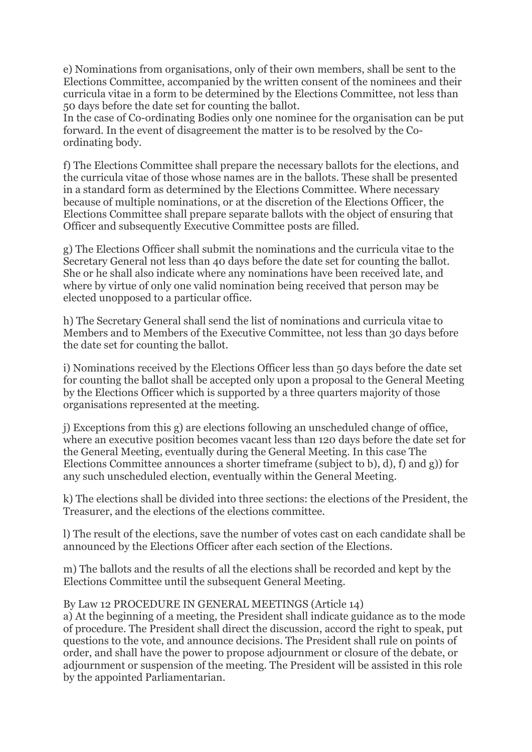e) Nominations from organisations, only of their own members, shall be sent to the Elections Committee, accompanied by the written consent of the nominees and their curricula vitae in a form to be determined by the Elections Committee, not less than 50 days before the date set for counting the ballot.

In the case of Co-ordinating Bodies only one nominee for the organisation can be put forward. In the event of disagreement the matter is to be resolved by the Coordinating body.

f) The Elections Committee shall prepare the necessary ballots for the elections, and the curricula vitae of those whose names are in the ballots. These shall be presented in a standard form as determined by the Elections Committee. Where necessary because of multiple nominations, or at the discretion of the Elections Officer, the Elections Committee shall prepare separate ballots with the object of ensuring that Officer and subsequently Executive Committee posts are filled.

g) The Elections Officer shall submit the nominations and the curricula vitae to the Secretary General not less than 40 days before the date set for counting the ballot. She or he shall also indicate where any nominations have been received late, and where by virtue of only one valid nomination being received that person may be elected unopposed to a particular office.

h) The Secretary General shall send the list of nominations and curricula vitae to Members and to Members of the Executive Committee, not less than 30 days before the date set for counting the ballot.

i) Nominations received by the Elections Officer less than 50 days before the date set for counting the ballot shall be accepted only upon a proposal to the General Meeting by the Elections Officer which is supported by a three quarters majority of those organisations represented at the meeting.

j) Exceptions from this g) are elections following an unscheduled change of office, where an executive position becomes vacant less than 120 days before the date set for the General Meeting, eventually during the General Meeting. In this case The Elections Committee announces a shorter timeframe (subject to b), d), f) and g)) for any such unscheduled election, eventually within the General Meeting.

k) The elections shall be divided into three sections: the elections of the President, the Treasurer, and the elections of the elections committee.

l) The result of the elections, save the number of votes cast on each candidate shall be announced by the Elections Officer after each section of the Elections.

m) The ballots and the results of all the elections shall be recorded and kept by the Elections Committee until the subsequent General Meeting.

## By Law 12 PROCEDURE IN GENERAL MEETINGS (Article 14)

a) At the beginning of a meeting, the President shall indicate guidance as to the mode of procedure. The President shall direct the discussion, accord the right to speak, put questions to the vote, and announce decisions. The President shall rule on points of order, and shall have the power to propose adjournment or closure of the debate, or adjournment or suspension of the meeting. The President will be assisted in this role by the appointed Parliamentarian.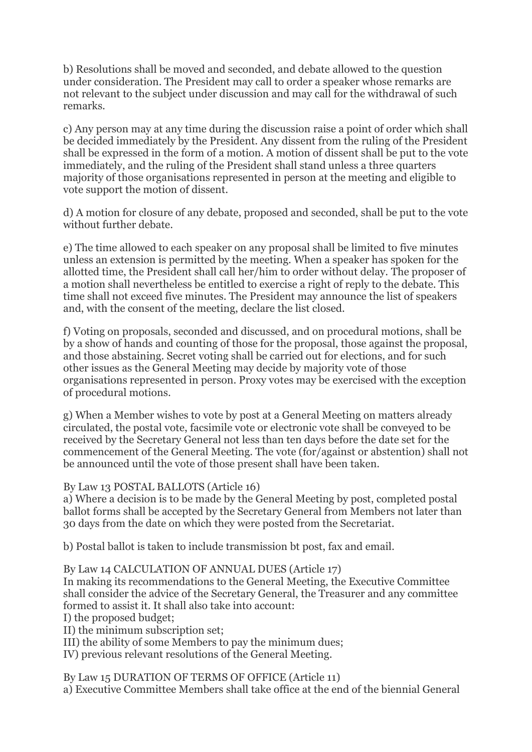b) Resolutions shall be moved and seconded, and debate allowed to the question under consideration. The President may call to order a speaker whose remarks are not relevant to the subject under discussion and may call for the withdrawal of such remarks.

c) Any person may at any time during the discussion raise a point of order which shall be decided immediately by the President. Any dissent from the ruling of the President shall be expressed in the form of a motion. A motion of dissent shall be put to the vote immediately, and the ruling of the President shall stand unless a three quarters majority of those organisations represented in person at the meeting and eligible to vote support the motion of dissent.

d) A motion for closure of any debate, proposed and seconded, shall be put to the vote without further debate.

e) The time allowed to each speaker on any proposal shall be limited to five minutes unless an extension is permitted by the meeting. When a speaker has spoken for the allotted time, the President shall call her/him to order without delay. The proposer of a motion shall nevertheless be entitled to exercise a right of reply to the debate. This time shall not exceed five minutes. The President may announce the list of speakers and, with the consent of the meeting, declare the list closed.

f) Voting on proposals, seconded and discussed, and on procedural motions, shall be by a show of hands and counting of those for the proposal, those against the proposal, and those abstaining. Secret voting shall be carried out for elections, and for such other issues as the General Meeting may decide by majority vote of those organisations represented in person. Proxy votes may be exercised with the exception of procedural motions.

g) When a Member wishes to vote by post at a General Meeting on matters already circulated, the postal vote, facsimile vote or electronic vote shall be conveyed to be received by the Secretary General not less than ten days before the date set for the commencement of the General Meeting. The vote (for/against or abstention) shall not be announced until the vote of those present shall have been taken.

## By Law 13 POSTAL BALLOTS (Article 16)

a) Where a decision is to be made by the General Meeting by post, completed postal ballot forms shall be accepted by the Secretary General from Members not later than 30 days from the date on which they were posted from the Secretariat.

b) Postal ballot is taken to include transmission bt post, fax and email.

By Law 14 CALCULATION OF ANNUAL DUES (Article 17)

In making its recommendations to the General Meeting, the Executive Committee shall consider the advice of the Secretary General, the Treasurer and any committee formed to assist it. It shall also take into account:

I) the proposed budget;

II) the minimum subscription set;

III) the ability of some Members to pay the minimum dues;

IV) previous relevant resolutions of the General Meeting.

By Law 15 DURATION OF TERMS OF OFFICE (Article 11) a) Executive Committee Members shall take office at the end of the biennial General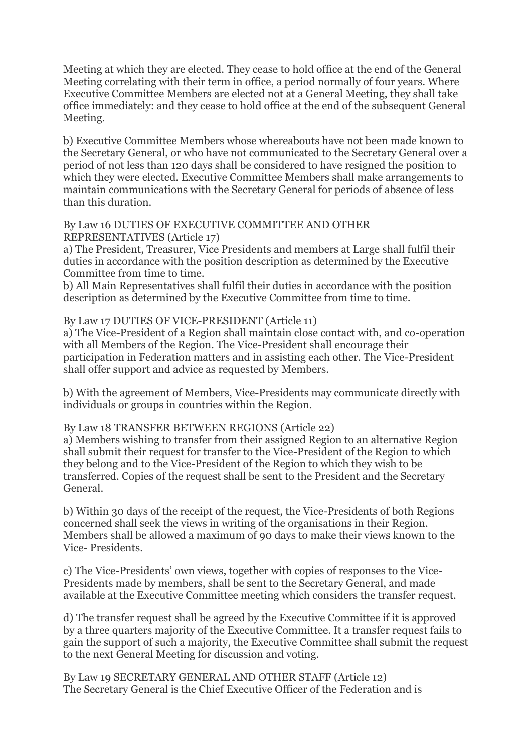Meeting at which they are elected. They cease to hold office at the end of the General Meeting correlating with their term in office, a period normally of four years. Where Executive Committee Members are elected not at a General Meeting, they shall take office immediately: and they cease to hold office at the end of the subsequent General Meeting.

b) Executive Committee Members whose whereabouts have not been made known to the Secretary General, or who have not communicated to the Secretary General over a period of not less than 120 days shall be considered to have resigned the position to which they were elected. Executive Committee Members shall make arrangements to maintain communications with the Secretary General for periods of absence of less than this duration.

#### By Law 16 DUTIES OF EXECUTIVE COMMITTEE AND OTHER REPRESENTATIVES (Article 17)

a) The President, Treasurer, Vice Presidents and members at Large shall fulfil their duties in accordance with the position description as determined by the Executive Committee from time to time.

b) All Main Representatives shall fulfil their duties in accordance with the position description as determined by the Executive Committee from time to time.

## By Law 17 DUTIES OF VICE-PRESIDENT (Article 11)

a) The Vice-President of a Region shall maintain close contact with, and co-operation with all Members of the Region. The Vice-President shall encourage their participation in Federation matters and in assisting each other. The Vice-President shall offer support and advice as requested by Members.

b) With the agreement of Members, Vice-Presidents may communicate directly with individuals or groups in countries within the Region.

## By Law 18 TRANSFER BETWEEN REGIONS (Article 22)

a) Members wishing to transfer from their assigned Region to an alternative Region shall submit their request for transfer to the Vice-President of the Region to which they belong and to the Vice-President of the Region to which they wish to be transferred. Copies of the request shall be sent to the President and the Secretary General.

b) Within 30 days of the receipt of the request, the Vice-Presidents of both Regions concerned shall seek the views in writing of the organisations in their Region. Members shall be allowed a maximum of 90 days to make their views known to the Vice- Presidents.

c) The Vice-Presidents' own views, together with copies of responses to the Vice-Presidents made by members, shall be sent to the Secretary General, and made available at the Executive Committee meeting which considers the transfer request.

d) The transfer request shall be agreed by the Executive Committee if it is approved by a three quarters majority of the Executive Committee. It a transfer request fails to gain the support of such a majority, the Executive Committee shall submit the request to the next General Meeting for discussion and voting.

By Law 19 SECRETARY GENERAL AND OTHER STAFF (Article 12) The Secretary General is the Chief Executive Officer of the Federation and is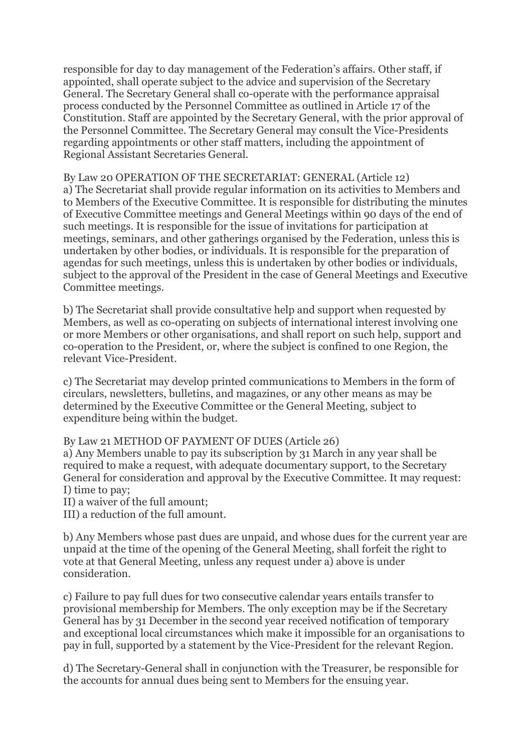responsible for day to day management of the Federation's affairs. Other staff, if appointed, shall operate subject to the advice and supervision of the Secretary General. The Secretary General shall co-operate with the performance appraisal process conducted by the Personnel Committee as outlined in Article 17 of the Constitution. Staff are appointed by the Secretary General, with the prior approval of the Personnel Committee. The Secretary General may consult the Vice-Presidents regarding appointments or other staff matters, including the appointment of Regional Assistant Secretaries General.

By Law 20 OPERATION OF THE SECRETARIAT: GENERAL (Article 12) a) The Secretariat shall provide regular information on its activities to Members and to Members of the Executive Committee. It is responsible for distributing the minutes of Executive Committee meetings and General Meetings within 90 days of the end of such meetings. It is responsible for the issue of invitations for participation at meetings, seminars, and other gatherings organised by the Federation, unless this is undertaken by other bodies, or individuals. It is responsible for the preparation of agendas for such meetings, unless this is undertaken by other bodies or individuals, subject to the approval of the President in the case of General Meetings and Executive Committee meetings.

b) The Secretariat shall provide consultative help and support when requested by Members, as well as co-operating on subjects of international interest involving one or more Members or other organisations, and shall report on such help, support and co-operation to the President, or, where the subject is confined to one Region, the relevant Vice-President.

c) The Secretariat may develop printed communications to Members in the form of circulars, newsletters, bulletins, and magazines, or any other means as may be determined by the Executive Committee or the General Meeting, subject to expenditure being within the budget.

By Law 21 METHOD OF PAYMENT OF DUES (Article 26)

a) Any Members unable to pay its subscription by 31 March in any year shall be required to make a request, with adequate documentary support, to the Secretary General for consideration and approval by the Executive Committee. It may request: I) time to pay;

II) a waiver of the full amount;

III) a reduction of the full amount.

b) Any Members whose past dues are unpaid, and whose dues for the current year are unpaid at the time of the opening of the General Meeting, shall forfeit the right to vote at that General Meeting, unless any request under a) above is under consideration.

c) Failure to pay full dues for two consecutive calendar years entails transfer to provisional membership for Members. The only exception may be if the Secretary General has by 31 December in the second year received notification of temporary and exceptional local circumstances which make it impossible for an organisations to pay in full, supported by a statement by the Vice-President for the relevant Region.

d) The Secretary-General shall in conjunction with the Treasurer, be responsible for the accounts for annual dues being sent to Members for the ensuing year.